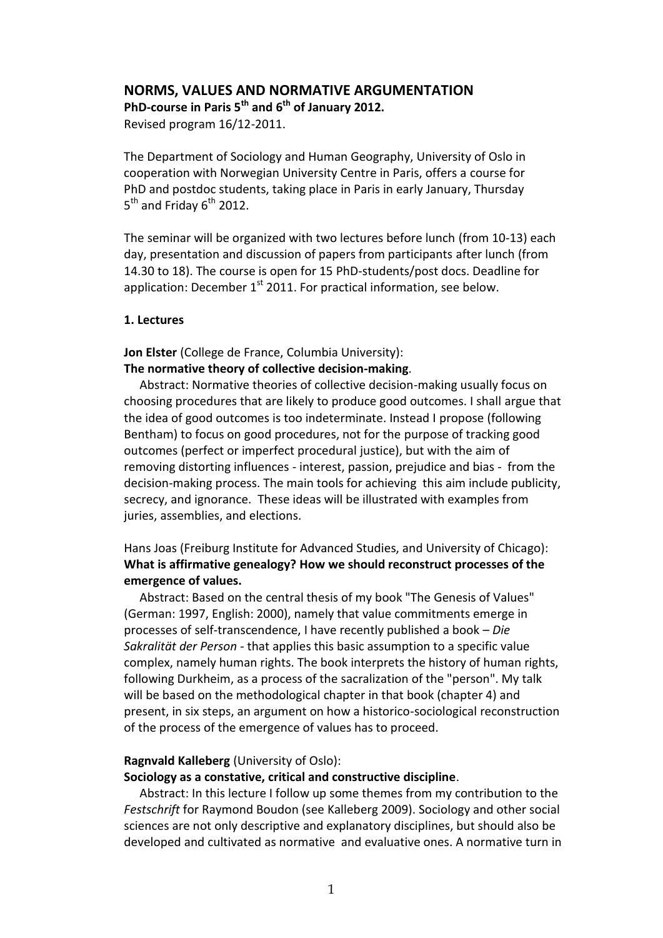## **NORMS, VALUES AND NORMATIVE ARGUMENTATION**

**PhD-course in Paris 5th and 6th of January 2012.** Revised program 16/12-2011.

The Department of Sociology and Human Geography, University of Oslo in cooperation with Norwegian University Centre in Paris, offers a course for PhD and postdoc students, taking place in Paris in early January, Thursday  $5^{\text{th}}$  and Friday  $6^{\text{th}}$  2012.

The seminar will be organized with two lectures before lunch (from 10-13) each day, presentation and discussion of papers from participants after lunch (from 14.30 to 18). The course is open for 15 PhD-students/post docs. Deadline for application: December  $1<sup>st</sup>$  2011. For practical information, see below.

#### **1. Lectures**

**Jon Elster** (College de France, Columbia University):

**The normative theory of collective decision-making**.

Abstract: Normative theories of collective decision-making usually focus on choosing procedures that are likely to produce good outcomes. I shall argue that the idea of good outcomes is too indeterminate. Instead I propose (following Bentham) to focus on good procedures, not for the purpose of tracking good outcomes (perfect or imperfect procedural justice), but with the aim of removing distorting influences - interest, passion, prejudice and bias - from the decision-making process. The main tools for achieving this aim include publicity, secrecy, and ignorance. These ideas will be illustrated with examples from juries, assemblies, and elections.

# Hans Joas (Freiburg Institute for Advanced Studies, and University of Chicago): **What is affirmative genealogy? How we should reconstruct processes of the emergence of values.**

Abstract: Based on the central thesis of my book "The Genesis of Values" (German: 1997, English: 2000), namely that value commitments emerge in processes of self-transcendence, I have recently published a book – *Die Sakralität der Person* - that applies this basic assumption to a specific value complex, namely human rights. The book interprets the history of human rights, following Durkheim, as a process of the sacralization of the "person". My talk will be based on the methodological chapter in that book (chapter 4) and present, in six steps, an argument on how a historico-sociological reconstruction of the process of the emergence of values has to proceed.

### **Ragnvald Kalleberg** (University of Oslo):

#### **Sociology as a constative, critical and constructive discipline**.

Abstract: In this lecture I follow up some themes from my contribution to the *Festschrift* for Raymond Boudon (see Kalleberg 2009). Sociology and other social sciences are not only descriptive and explanatory disciplines, but should also be developed and cultivated as normative and evaluative ones. A normative turn in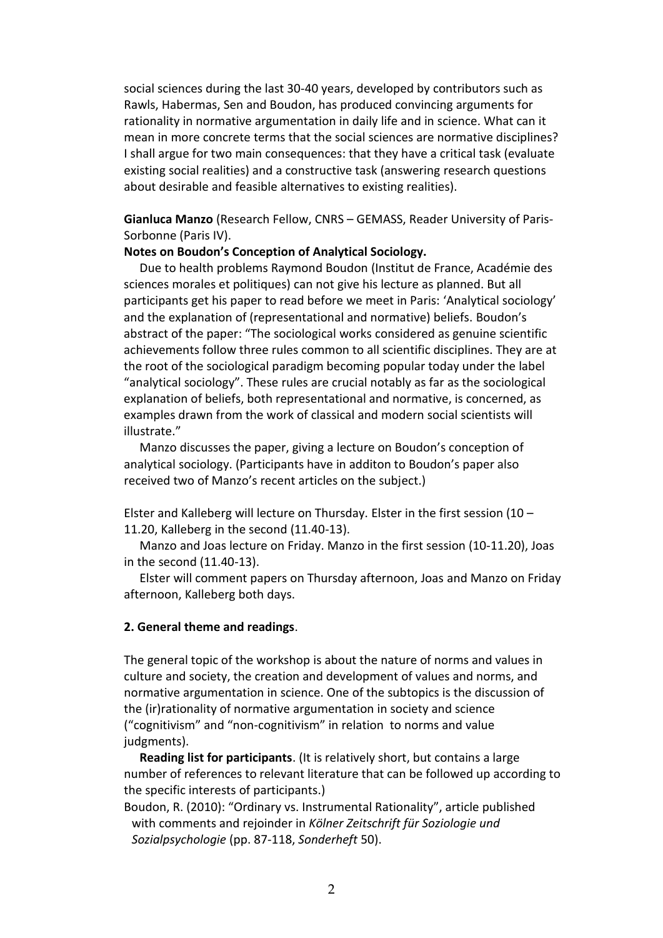social sciences during the last 30-40 years, developed by contributors such as Rawls, Habermas, Sen and Boudon, has produced convincing arguments for rationality in normative argumentation in daily life and in science. What can it mean in more concrete terms that the social sciences are normative disciplines? I shall argue for two main consequences: that they have a critical task (evaluate existing social realities) and a constructive task (answering research questions about desirable and feasible alternatives to existing realities).

**Gianluca Manzo** (Research Fellow, CNRS – GEMASS, Reader University of Paris-Sorbonne (Paris IV).

### **Notes on Boudon's Conception of Analytical Sociology.**

Due to health problems Raymond Boudon (Institut de France, Académie des sciences morales et politiques) can not give his lecture as planned. But all participants get his paper to read before we meet in Paris: 'Analytical sociology' and the explanation of (representational and normative) beliefs. Boudon's abstract of the paper: "The sociological works considered as genuine scientific achievements follow three rules common to all scientific disciplines. They are at the root of the sociological paradigm becoming popular today under the label "analytical sociology". These rules are crucial notably as far as the sociological explanation of beliefs, both representational and normative, is concerned, as examples drawn from the work of classical and modern social scientists will illustrate."

Manzo discusses the paper, giving a lecture on Boudon's conception of analytical sociology. (Participants have in additon to Boudon's paper also received two of Manzo's recent articles on the subject.)

Elster and Kalleberg will lecture on Thursday. Elster in the first session (10 – 11.20, Kalleberg in the second (11.40-13).

Manzo and Joas lecture on Friday. Manzo in the first session (10-11.20), Joas in the second (11.40-13).

Elster will comment papers on Thursday afternoon, Joas and Manzo on Friday afternoon, Kalleberg both days.

### **2. General theme and readings**.

The general topic of the workshop is about the nature of norms and values in culture and society, the creation and development of values and norms, and normative argumentation in science. One of the subtopics is the discussion of the (ir)rationality of normative argumentation in society and science ("cognitivism" and "non-cognitivism" in relation to norms and value judgments).

**Reading list for participants**. (It is relatively short, but contains a large number of references to relevant literature that can be followed up according to the specific interests of participants.)

Boudon, R. (2010): "Ordinary vs. Instrumental Rationality", article published with comments and rejoinder in *Kölner Zeitschrift für Soziologie und Sozialpsychologie* (pp. 87-118, *Sonderheft* 50).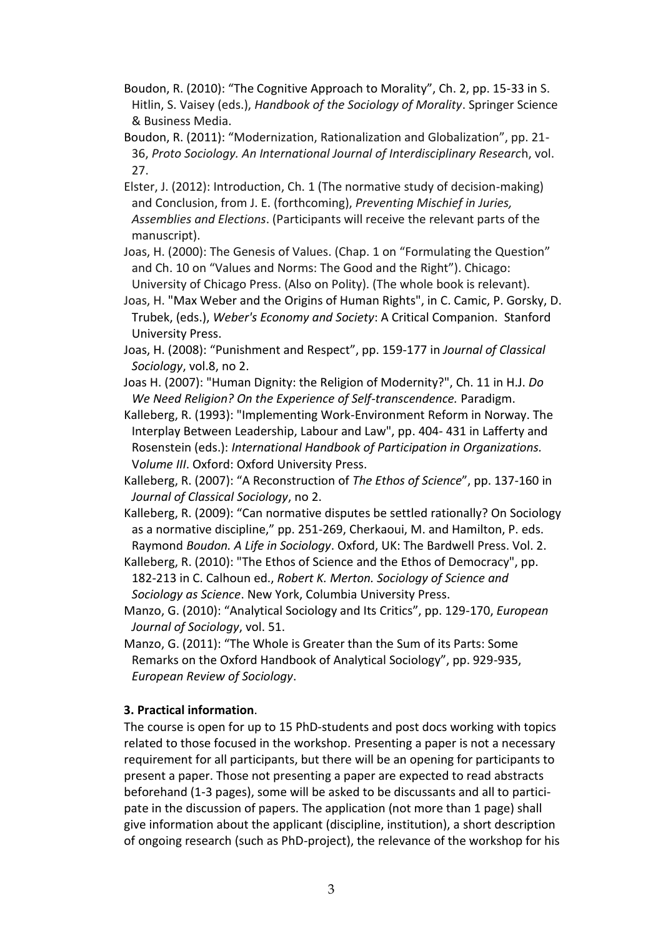- Boudon, R. (2010): "The Cognitive Approach to Morality", Ch. 2, pp. 15-33 in S. Hitlin, S. Vaisey (eds.), *Handbook of the Sociology of Morality*. Springer Science & Business Media.
- Boudon, R. (2011): "Modernization, Rationalization and Globalization", pp. 21- 36, *Proto Sociology. An International Journal of Interdisciplinary Researc*h, vol. 27.
- Elster, J. (2012): Introduction, Ch. 1 (The normative study of decision-making) and Conclusion, from J. E. (forthcoming), *Preventing Mischief in Juries, Assemblies and Elections*. (Participants will receive the relevant parts of the manuscript).
- Joas, H. (2000): The Genesis of Values. (Chap. 1 on "Formulating the Question" and Ch. 10 on "Values and Norms: The Good and the Right"). Chicago: University of Chicago Press. (Also on Polity). (The whole book is relevant).
- Joas, H. "Max Weber and the Origins of Human Rights", in C. Camic, P. Gorsky, D. Trubek, (eds.), *Weber's Economy and Society*: A Critical Companion. Stanford University Press.
- Joas, H. (2008): "Punishment and Respect", pp. 159-177 in *Journal of Classical Sociology*, vol.8, no 2.
- Joas H. (2007): "Human Dignity: the Religion of Modernity?", Ch. 11 in H.J. *Do We Need Religion? On the Experience of Self-transcendence.* Paradigm.
- Kalleberg, R. (1993): "Implementing Work-Environment Reform in Norway. The Interplay Between Leadership, Labour and Law", pp. 404- 431 in Lafferty and Rosenstein (eds.): *International Handbook of Participation in Organizations.*  V*olume III*. Oxford: Oxford University Press.
- Kalleberg, R. (2007): "A Reconstruction of *The Ethos of Science*", pp. 137-160 in *Journal of Classical Sociology*, no 2.
- Kalleberg, R. (2009): "Can normative disputes be settled rationally? On Sociology as a normative discipline," pp. 251-269, Cherkaoui, M. and Hamilton, P. eds. Raymond *Boudon. A Life in Sociology*. Oxford, UK: The Bardwell Press. Vol. 2.
- Kalleberg, R. (2010): "The Ethos of Science and the Ethos of Democracy", pp. 182-213 in C. Calhoun ed., *Robert K. Merton. Sociology of Science and Sociology as Science*. New York, Columbia University Press.
- Manzo, G. (2010): "Analytical Sociology and Its Critics", pp. 129-170, *European Journal of Sociology*, vol. 51.
- Manzo, G. (2011): "The Whole is Greater than the Sum of its Parts: Some Remarks on the Oxford Handbook of Analytical Sociology", pp. 929-935, *European Review of Sociology*.

# **3. Practical information**.

The course is open for up to 15 PhD-students and post docs working with topics related to those focused in the workshop. Presenting a paper is not a necessary requirement for all participants, but there will be an opening for participants to present a paper. Those not presenting a paper are expected to read abstracts beforehand (1-3 pages), some will be asked to be discussants and all to participate in the discussion of papers. The application (not more than 1 page) shall give information about the applicant (discipline, institution), a short description of ongoing research (such as PhD-project), the relevance of the workshop for his